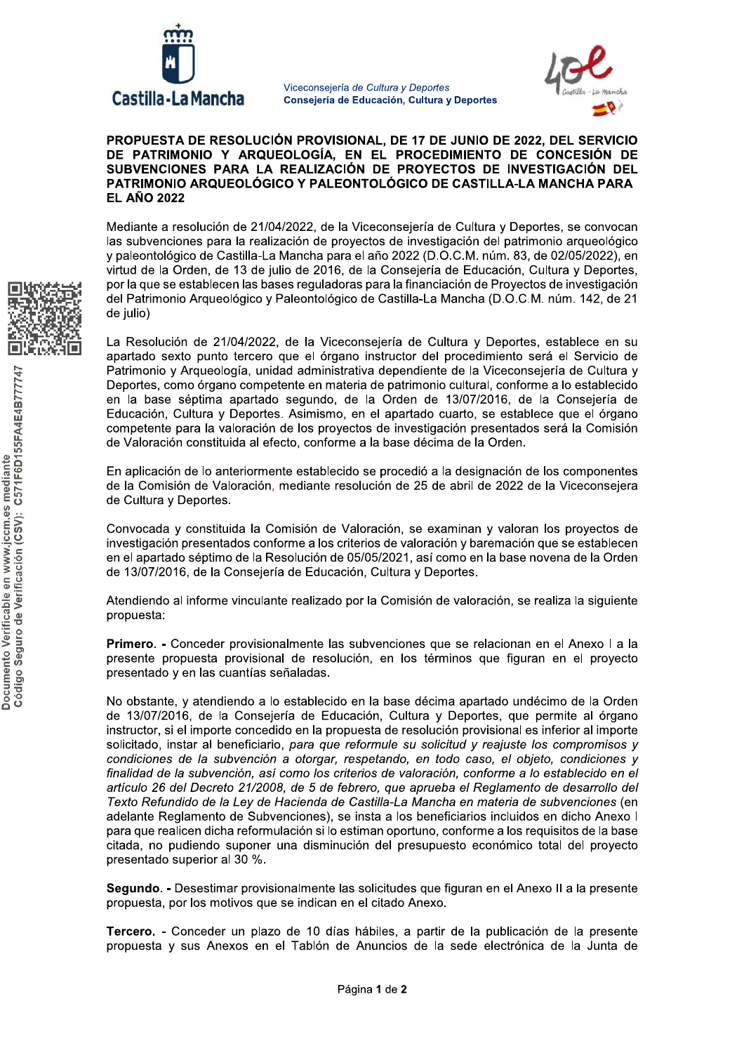

Viceconsejería de Cultura y Deportes Consejería de Educación, Cultura y Deportes



## PROPUESTA DE RESOLUCIÓN PROVISIONAL, DE 17 DE JUNIO DE 2022, DEL SERVICIO DE PATRIMONIO Y ARQUEOLOGÍA, EN EL PROCEDIMIENTO DE CONCESIÓN DE SUBVENCIONES PARA LA REALIZACIÓN DE PROYECTOS DE INVESTIGACIÓN DEL PATRIMONIO ARQUEOLÓGICO Y PALEONTOLÓGICO DE CASTILLA-LA MANCHA PARA **EL AÑO 2022**

Mediante a resolución de 21/04/2022, de la Viceconseiería de Cultura y Deportes, se convocan las subvenciones para la realización de proyectos de investigación del patrimonio arqueológico y paleontológico de Castilla-La Mancha para el año 2022 (D.O.C.M. núm. 83, de 02/05/2022), en virtud de la Orden, de 13 de julio de 2016, de la Consejería de Educación, Cultura y Deportes, por la que se establecen las bases reguladoras para la financiación de Proyectos de investigación del Patrimonio Arqueológico y Paleontológico de Castilla-La Mancha (D.O.C.M. núm. 142, de 21 de julio)

La Resolución de 21/04/2022, de la Viceconsejería de Cultura y Deportes, establece en su apartado sexto punto tercero que el órgano instructor del procedimiento será el Servicio de Patrimonio y Arqueología, unidad administrativa dependiente de la Viceconsejería de Cultura y Deportes, como órgano competente en materia de patrimonio cultural, conforme a lo establecido en la base séptima apartado segundo, de la Orden de 13/07/2016, de la Consejería de Educación, Cultura y Deportes. Asimismo, en el apartado cuarto, se establece que el órgano competente para la valoración de los proyectos de investigación presentados será la Comisión de Valoración constituida al efecto, conforme a la base décima de la Orden.

En aplicación de lo anteriormente establecido se procedió a la designación de los componentes de la Comisión de Valoración, mediante resolución de 25 de abril de 2022 de la Viceconsejera de Cultura y Deportes.

Convocada y constituida la Comisión de Valoración, se examinan y valoran los provectos de investigación presentados conforme a los criterios de valoración y baremación que se establecen en el apartado séptimo de la Resolución de 05/05/2021, así como en la base novena de la Orden de 13/07/2016, de la Conseiería de Educación, Cultura y Deportes.

Atendiendo al informe vinculante realizado por la Comisión de valoración, se realiza la siguiente propuesta:

Primero. - Conceder provisionalmente las subvenciones que se relacionan en el Anexo I a la presente propuesta provisional de resolución, en los términos que figuran en el proyecto presentado y en las cuantías señaladas.

No obstante, y atendiendo a lo establecido en la base décima apartado undécimo de la Orden de 13/07/2016, de la Consejería de Educación, Cultura y Deportes, que permite al órgano instructor, si el importe concedido en la propuesta de resolución provisional es inferior al importe solicitado, instar al beneficiario, para que reformule su solicitud y reajuste los compromisos y condiciones de la subvención a otorgar, respetando, en todo caso, el objeto, condiciones y finalidad de la subvención, así como los criterios de valoración, conforme a lo establecido en el artículo 26 del Decreto 21/2008, de 5 de febrero, que aprueba el Reglamento de desarrollo del Texto Refundido de la Ley de Hacienda de Castilla-La Mancha en materia de subvenciones (en adelante Reglamento de Subvenciones), se insta a los beneficiarios incluidos en dicho Anexo I para que realicen dicha reformulación si lo estiman oportuno, conforme a los requisitos de la base citada, no pudiendo suponer una disminución del presupuesto económico total del proyecto presentado superior al 30 %.

Segundo. - Desestimar provisionalmente las solicitudes que figuran en el Anexo II a la presente propuesta, por los motivos que se indican en el citado Anexo.

Tercero. - Conceder un plazo de 10 días hábiles, a partir de la publicación de la presente propuesta y sus Anexos en el Tablón de Anuncios de la sede electrónica de la Junta de

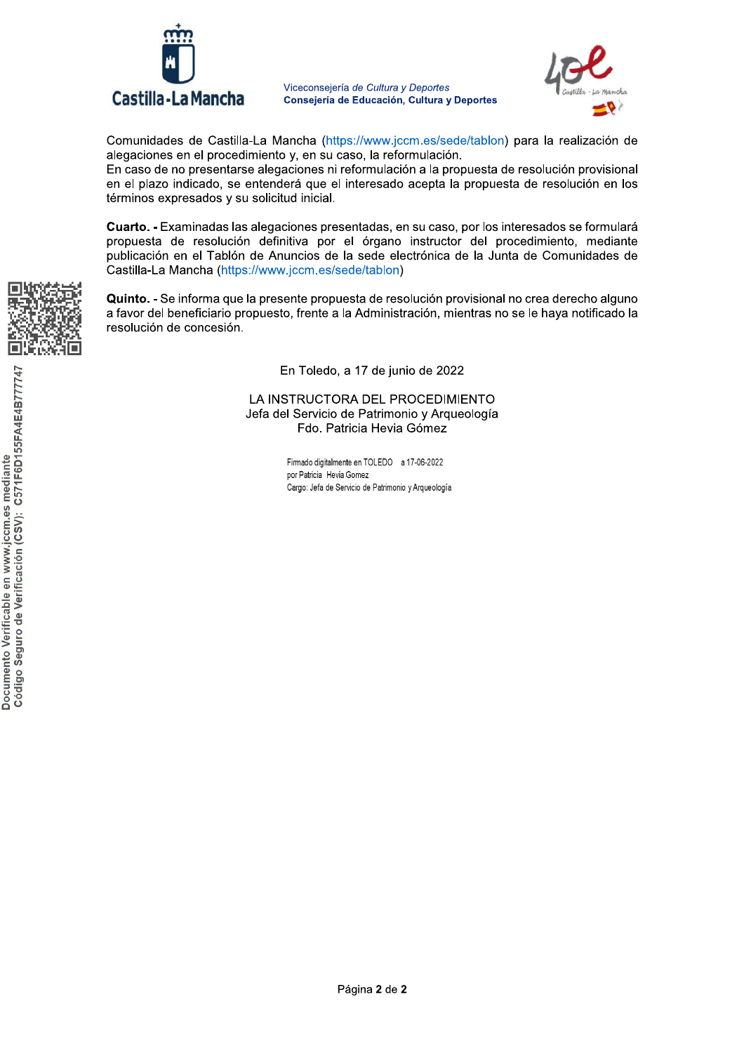

Viceconseiería



Comunidades de Castilla-La Mancha (https://www.iccm.es/sede/tablon) para la realización de alegaciones en el procedimiento v. en su caso. la reformulación.

Viceconsejería *de Cultura y Deportes*<br> **Consejería de Educación, Cultura y Deportes**<br>
Mancha (https://www.jccm.es/sede/tablon)<br>
Into y, en su caso, la reformulación.<br>
egaciones ni reformulación a la propuesta de<br>
nderá qu En caso de no presentarse alegaciones ni reformulación a la propuesta de resolución provisional en el plazo indicado, se entenderá que el interesado acepta la propuesta de resolución en los términos expresados y su solicitud inicial.

Cuarto, - Examinadas las alegaciones presentadas, en su caso, por los interesados se formulará propuesta de resolución definitiva por el órgano instructor del procedimiento, mediante publicación en el Tablón de Anuncios de la sede electrónica de la Junta de Comunidades de .<br>Castilla-La Mancha (https://www.iccm.es/sede/tablon)

Quinto. - Se informa que la presente propuesta de resolución provisional no crea derecho alguno a favor del beneficiario propuesto, frente a la Administración, mientras no se le hava notificado la resolución de concesión.

En Toledo, a 17 de iunio de 2022

LA INSTRUCTORA DEL PROCEDIMIENTO Jefa del Servicio de Patrimonio y Argueología  $\mathsf F$ do. Patricia Hevia Gómez $^\mathsf{i}$ 

> Firmado digitalmente en TOLEDO a 17-06-2022 por Patricia Hevia Gomez Cargo: Jefa de Servicio de Patrimonio y Arqueología

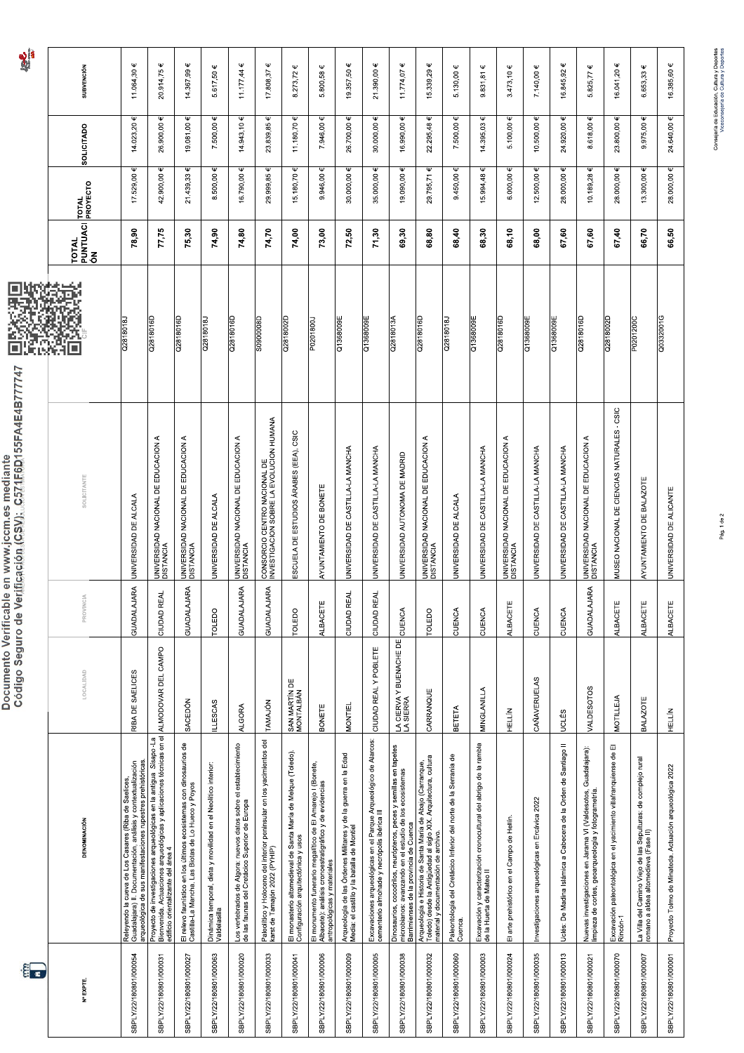## 7747 Documento Verificable en www.iccm.es mediante Código Seg

|                                                                  | : C571F6D155FA4E4B77       |  |  |
|------------------------------------------------------------------|----------------------------|--|--|
|                                                                  |                            |  |  |
|                                                                  |                            |  |  |
|                                                                  |                            |  |  |
|                                                                  |                            |  |  |
|                                                                  |                            |  |  |
|                                                                  |                            |  |  |
|                                                                  |                            |  |  |
|                                                                  |                            |  |  |
|                                                                  |                            |  |  |
|                                                                  |                            |  |  |
|                                                                  |                            |  |  |
|                                                                  |                            |  |  |
|                                                                  |                            |  |  |
|                                                                  |                            |  |  |
|                                                                  |                            |  |  |
|                                                                  |                            |  |  |
|                                                                  |                            |  |  |
|                                                                  |                            |  |  |
|                                                                  |                            |  |  |
|                                                                  |                            |  |  |
|                                                                  |                            |  |  |
|                                                                  |                            |  |  |
|                                                                  |                            |  |  |
|                                                                  |                            |  |  |
|                                                                  |                            |  |  |
|                                                                  |                            |  |  |
|                                                                  |                            |  |  |
|                                                                  |                            |  |  |
| <b>PERSONAL PROPERTY AND AN ABOUT A PROPERTY OF A PARTICULUM</b> | uro de Verificación (CSV). |  |  |
|                                                                  |                            |  |  |
|                                                                  |                            |  |  |

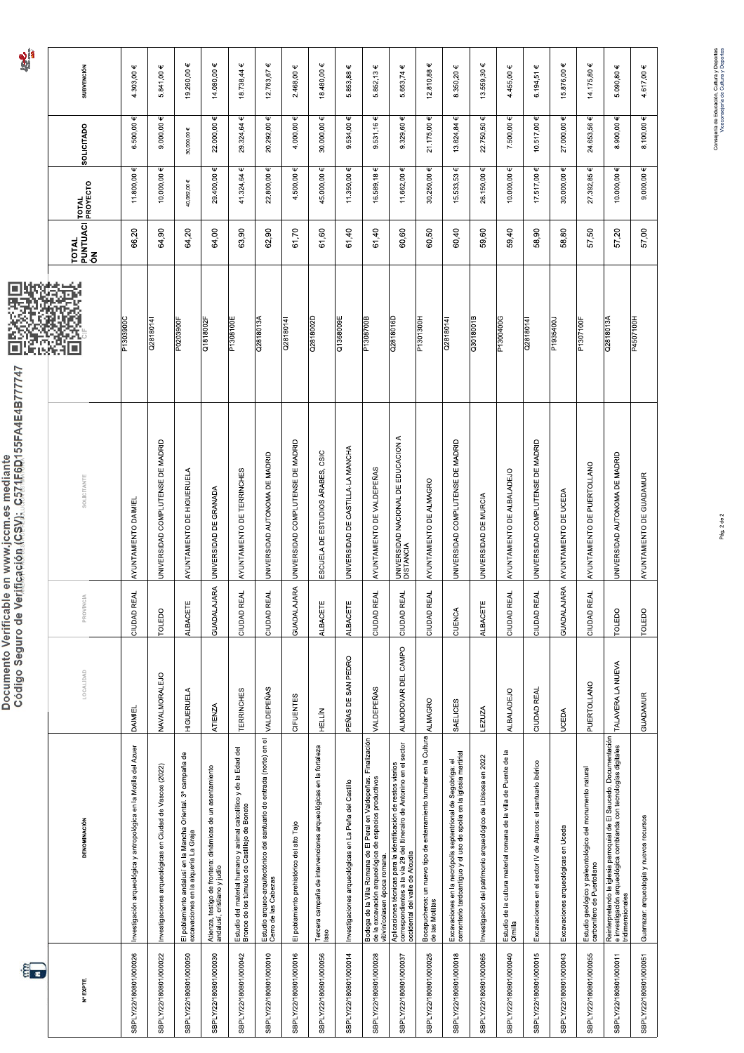|                                               | C571F6D1                             |
|-----------------------------------------------|--------------------------------------|
|                                               |                                      |
| Documento Verificable en www.jccm.es mediante | Código Seguro de Verificación (CSV); |
|                                               |                                      |
|                                               |                                      |
|                                               |                                      |

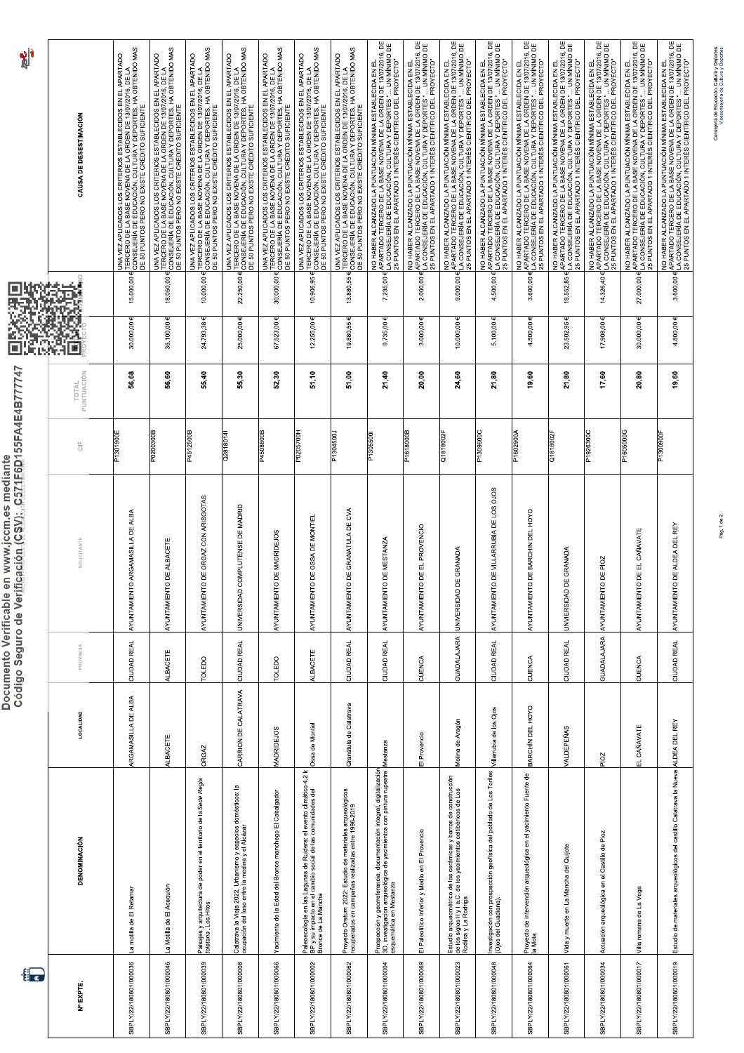| $\frac{1}{2}$                                                                                                | CAUSA DE DESESTIMACIÓN | UNA VEZ APLICADOS LOS CRITERIOS ESTABLECIDOS EN EL APARTADO<br>TERCERO DE LA BASE MOVIENA DE LA ORDEN DE 1307/2016, DE LA<br>DE SO PUNTOS PERO NO EXISTE CRÉDITO SUFICIENTE<br>DE SO PUNTOS PERO NO EXISTE CRÉDITO SUFICIENTE | UNA VEZ APLICADOS LOS CRITERIOS ESTABLECIDOS EN EL APARTADO<br>TERCERO DE LA BASE MOVENA DE LA ORDEN DE 13/07/2016, DE LA<br>DE SO PUNTOS PERO NO EXISTE CRÉDITO SUFICIENTE<br>DE SO PUNTOS PERO NO EXISTE CRÉDITO SUFICIENTE | UNA VEZ APLICADOS LOS CRITERIOS ESTABLECIDOS EN EL APARTADO<br>TERCERO DE LA BASE NOVEINA DE LA ORDEN DE 13/07/2016, DE LA<br>DE 50 PUNTOS PERO NO EXISTE CRÉDITO SUFICIENTE<br>DE 50 PUNTOS PERO NO EXISTE CRÉDITO SUFICIENTE | UNA VEZ APLICADOS LOS CRITERIOS ESTABLECIDOS EN EL APARTADO<br>TERCERO DE LA BASE NOVEIAN DE LA ORDEN DE 13/07/2016, DE LA<br>DE 80 PUNTOS PERO NO EXISTE CRÉDITO SUFICIENTE<br>DE 80 PUNTOS PERO NO EXISTE CRÉDITO SUFICIENTE | TERCERO DE LA BASE NOVENA DE LA ORDEN DE 1307/2016. DE LA<br>DE SO PUNTOS PERO NO EXISTE CRÉDITO SUFICIENTE. HA OBTENIDO MAS<br>DE SO PUNTOS PERO NO EXISTE CRÉDITO SUFICIENTE.<br>UNA VEZ APLICADOS LOS CRITERIOS ESTABLECIDOS EN EL APARTADO | TERCERO DE LA BASE NOVENA DE LA ORDEN DE 13/07/2016, DE LA<br>CONSEJURIA DE LA BASE NOVENA DE LA ORDEN DE 13/07/2016, DE LA<br>CONSEJURIA DE ERO KACIAN, CLUTADA Y OBIFICIENES, HA OBTENIDO MAS<br>UNA VEZ APLICADOS LOS CRITERIOS ESTABLECIDOS EN EL APARTADO<br>Ψ | UNA VEZ APLICADOS LOS CRITERIOS ESTABLECIDOS EN EL APARTADO<br>CONSEJERIA DE EDUCACION, QUE L'UA OY DEPORTES, HA OBTENIDO MAS<br>CONSEJERIA DE EDUCACION, QUE L'UA OY DEPORTES, HA OBTENIDO MAS<br>DE 50 PUNTOS PERO NO EXISTE CRÉDITO SUFICIENTE | NO HABER ALGANZADO LA PUNTUACIÓN MÍNIMA ESTABLECIDA EN EL<br>LA CONSEJERÍA DE EDUCACIÓN, CULTURA Y DEPORTES " UN MÍNIMO DE<br>LA CONSEJERÍA DE EDUCACIÓN, CULTURA Y DEPORTES " UN MÍNIMO DE<br>LA CONSEJERÍA DE EDUCACIÓN, CULTURA Y DEPORTES * UN MINIM<br>25 PUNTOS EN EL APARTADO 1 INTERÉS CIENTÍFICO DEL PROYECTO" | NO HABER ALCANCADO LA FONTO-VOLTAINING A DE REGION DE 1307/2016, DE<br>A ASTADO HA AFE EDIPLANA DI TIIRA Y DEPORTES " UN MÍNIMO DE<br>A ASTADO HA AFE EDIPLANAN CINTIRA Y DEPORTES " UN MÍNIMO DE<br>NO HABER ALCANZADO LA PUNTUACIÓN MÍNIMA ESTABLECIDA EN EL<br>25 PUNTOS EN EL APARTADO 1 INTERÉS CIENTÍFICO DEL PROYECTO | NO HABER ALGANZADO LA PUNTUACIÓN MÍNIMA ESTABLECIDA EN EL<br>LA CONSEJERÍA DE EDUCACIÓN, CULTURA Y DEPORTES " UN MÍNIMO DE<br>LA CONSEJERÍA DE EDUCACIÓN, CULTURA Y DEPORTES " UN MÍNIMO DE<br>23 PUNTOS EN EL APARTADO 1 INTERÉS CIENTÍFICO DEL PROYECTO | E 13/07/2016, DE<br>UN MÍNIMO DE<br>NO HABER ALCANZADO LA PUNTUACIÓN MÍNIMA ESTABLECIDA EN EL<br>LA CONSEJ TER DE ED UC ACIÓN SE ULTURA DE LA ORTES". LE 11 XIMIMO<br>LA CONSEJ TER DE ED UC ACIÓN SE ULTURA DE LA ORTES". LE 11 XIMIMO<br>25 PUNTOS EN EL APARTADO 1 INTERÉS CIENTÍFICO DEL PROYECTO | E 13/07/2016, DE<br>NO HABER ALCANZADO LA PUNTUACIÓN MÍNIMA ESTABLECIDA EN EL<br>LA CONSEJETAN DE EDUCACIÓN, EULTURA Y DEPORTES " UN MÍNIMO I<br>LA CONSEJETAN DE EDUCACIÓN, EULTURA Y DEPORTES " UN MÍNIMO I<br>25 PUNTOS EN EL APARTADO 1 INTERÉS CIENTÍFICO DEL PROYECTO | NO HABER ALGANZADO LA PUNTUACIÓN MÍNIMA ESTABLECIDA EN EL<br>LA CONSEJERÍA DE EDUCACIÓN, EULTURA Y DEPORTES " UN MÍNIMO DE<br>LA CONSEJERÍA DE EDUCACIÓN, EULTURA Y DEPORTES " UN MÍNIMO DE<br>25 PUNTOS EN EL APARTADO 1 INTERÉS CIENTÍFICO DEL PROYECTO | NO HABER ALCANZADO LA PUNTUACIÓN MÍNIMA ESTABLECIDA EN EL<br>APARTADO TERCERO DE LA BASE NOVENA DE LA ORDEN DE 1307/2016, DE<br>25 PUNTOS EN EL APARTADO 1 NITERÉS CIENTÍFICO DEL PROYECTO"<br>25 PUNTOS EN EL APARTADO 1 NITERÉS CIENT | NO HABER ALCANZADO LA PUNTUACIÓN MÍNIMA ESTABLECIDA EN EL<br>APARTADO TERCERO DE LA BASE NOVENA DE LA ORDEN DE 130/7/2016, DE<br>APARTADO TERCERO DE LA BASE NOVENA DE LA ORDEN DE 130/7/2016, DE<br>25 PUNTOS EN EL APARTADO 1 INTERÉS | NO HABER ALCANZADO LA PUNTUACIÓN MÍNIMA ESTABLECIDA EN EL<br>3.600.00 (APARTADO TERCERO DE LA BASE NOVENA DE LA ORDEN DE 13/07/2016, DE<br>3.600.00 (APARTADO TERCERO DE LA BASE NOVENA DE LA ORDEN DE 13/07/2016, DE<br>25 PUNTOS EN E |
|--------------------------------------------------------------------------------------------------------------|------------------------|-------------------------------------------------------------------------------------------------------------------------------------------------------------------------------------------------------------------------------|-------------------------------------------------------------------------------------------------------------------------------------------------------------------------------------------------------------------------------|--------------------------------------------------------------------------------------------------------------------------------------------------------------------------------------------------------------------------------|--------------------------------------------------------------------------------------------------------------------------------------------------------------------------------------------------------------------------------|------------------------------------------------------------------------------------------------------------------------------------------------------------------------------------------------------------------------------------------------|---------------------------------------------------------------------------------------------------------------------------------------------------------------------------------------------------------------------------------------------------------------------|---------------------------------------------------------------------------------------------------------------------------------------------------------------------------------------------------------------------------------------------------|-------------------------------------------------------------------------------------------------------------------------------------------------------------------------------------------------------------------------------------------------------------------------------------------------------------------------|------------------------------------------------------------------------------------------------------------------------------------------------------------------------------------------------------------------------------------------------------------------------------------------------------------------------------|-----------------------------------------------------------------------------------------------------------------------------------------------------------------------------------------------------------------------------------------------------------|-------------------------------------------------------------------------------------------------------------------------------------------------------------------------------------------------------------------------------------------------------------------------------------------------------|-----------------------------------------------------------------------------------------------------------------------------------------------------------------------------------------------------------------------------------------------------------------------------|-----------------------------------------------------------------------------------------------------------------------------------------------------------------------------------------------------------------------------------------------------------|-----------------------------------------------------------------------------------------------------------------------------------------------------------------------------------------------------------------------------------------|-----------------------------------------------------------------------------------------------------------------------------------------------------------------------------------------------------------------------------------------|-----------------------------------------------------------------------------------------------------------------------------------------------------------------------------------------------------------------------------------------|
|                                                                                                              |                        | 15.000,00 €                                                                                                                                                                                                                   | 18.050,00 €                                                                                                                                                                                                                   | 10.000,00 €                                                                                                                                                                                                                    | 22.250,00€                                                                                                                                                                                                                     | 30.000,00 €                                                                                                                                                                                                                                    | 10.906,95                                                                                                                                                                                                                                                           | 13.880,55€                                                                                                                                                                                                                                        | $7.235,00 \in$                                                                                                                                                                                                                                                                                                          | $2.000,00 \in$                                                                                                                                                                                                                                                                                                               | $9.000,00 \in$                                                                                                                                                                                                                                            | $4.500,00 \in$                                                                                                                                                                                                                                                                                        | 3.600,00 €                                                                                                                                                                                                                                                                  | 18.552,85 €                                                                                                                                                                                                                                               | 14.326,40 €                                                                                                                                                                                                                             | 27.000,00€                                                                                                                                                                                                                              |                                                                                                                                                                                                                                         |
|                                                                                                              | 蹨<br>置                 | 30.000,00€                                                                                                                                                                                                                    | 36.100,00€                                                                                                                                                                                                                    | 24.793,38€                                                                                                                                                                                                                     | 25.000,00 €                                                                                                                                                                                                                    | 67.523,00 €                                                                                                                                                                                                                                    | $12.255,00 \in$                                                                                                                                                                                                                                                     | 19.880,55€                                                                                                                                                                                                                                        | $9.735,00 \in$                                                                                                                                                                                                                                                                                                          | 3.000,00€                                                                                                                                                                                                                                                                                                                    | 10.000,00€                                                                                                                                                                                                                                                | $5.100,00 \in$                                                                                                                                                                                                                                                                                        | $4.500,00 \in$                                                                                                                                                                                                                                                              | 23.502,95€                                                                                                                                                                                                                                                | $17.908,00 \in$                                                                                                                                                                                                                         | 30.000,00€                                                                                                                                                                                                                              | 4.800,00 €                                                                                                                                                                                                                              |
|                                                                                                              | PUNTUACIÓN<br>TOTAL    | 56,68                                                                                                                                                                                                                         | 56,60                                                                                                                                                                                                                         | 55,40                                                                                                                                                                                                                          | 55,30                                                                                                                                                                                                                          | 52,30                                                                                                                                                                                                                                          | 51,10                                                                                                                                                                                                                                                               | 51,00                                                                                                                                                                                                                                             | 21,40                                                                                                                                                                                                                                                                                                                   | 20,00                                                                                                                                                                                                                                                                                                                        | 24,60                                                                                                                                                                                                                                                     | 21,80                                                                                                                                                                                                                                                                                                 | 19,60                                                                                                                                                                                                                                                                       | 21,80                                                                                                                                                                                                                                                     | 17,60                                                                                                                                                                                                                                   | 20,80                                                                                                                                                                                                                                   | 19,60                                                                                                                                                                                                                                   |
|                                                                                                              | $\frac{\mu}{\zeta}$    | P1301900E                                                                                                                                                                                                                     | P0200300B                                                                                                                                                                                                                     | P4512500B                                                                                                                                                                                                                      | Q2818014                                                                                                                                                                                                                       | P4508800B                                                                                                                                                                                                                                      | P0205700H                                                                                                                                                                                                                                                           | P1304500L                                                                                                                                                                                                                                         | P1305500                                                                                                                                                                                                                                                                                                                | P1618000B                                                                                                                                                                                                                                                                                                                    | Q1818002                                                                                                                                                                                                                                                  | P1309600                                                                                                                                                                                                                                                                                              | P1602900A                                                                                                                                                                                                                                                                   | Q1818002                                                                                                                                                                                                                                                  | P1926300C                                                                                                                                                                                                                               | P1605000G                                                                                                                                                                                                                               | P1300900F                                                                                                                                                                                                                               |
| Código Seguro de Verificación (CSV): C571F6D155FA4E4B777747<br>Documento Verificable en www.jccm.es mediante | SOLICITANTE            | AYUNTAMIENTO ARGAMASILLA DE ALBA                                                                                                                                                                                              | DE ALBACETE<br><b>OIN:</b><br>AYUNTAMIE                                                                                                                                                                                       | DE ORGAZ CON ARISGOTAS<br>AYUNTAMIENTO                                                                                                                                                                                         | COMPLUTENSE DE MADRID<br>UNIVERSIDAD                                                                                                                                                                                           | DE MADRIDEJOS<br><b>OLN:</b><br>AYUNTAMIE                                                                                                                                                                                                      | DE OSSA DE MONTIEL<br>Çти<br>AYUNTAMIE                                                                                                                                                                                                                              | SVA<br>DE GRANATULA DE<br><b>OLN:</b><br>AYUNTAMIE                                                                                                                                                                                                | DE MESTANZA<br><b>OLN</b><br>AYUNTAMIE                                                                                                                                                                                                                                                                                  | PROVENCIO<br>ш<br>빔<br>AYUNTAMIENTO                                                                                                                                                                                                                                                                                          | DE GRANADA<br>UNIVERSIDAD                                                                                                                                                                                                                                 | DE VILLARRUBIA DE LOS OJOS<br><b>OLN:</b><br>AYUNTAMIE                                                                                                                                                                                                                                                | DE BARCHIN DEL HOYO<br>AYUNTAMIENTO                                                                                                                                                                                                                                         | DE GRANADA<br>UNVIERSIDAD                                                                                                                                                                                                                                 | DE PIOZ<br>AYUNTAMIENTO                                                                                                                                                                                                                 | NTO DE EL CAÑAVATE<br>AYUNTAMIE                                                                                                                                                                                                         | INTO DE ALDEA DEL REY<br>AYUNTAMIE                                                                                                                                                                                                      |
|                                                                                                              | PROVINCIA              | CIUDAD REAL                                                                                                                                                                                                                   | <b>ALBACETE</b>                                                                                                                                                                                                               | TOLEDO                                                                                                                                                                                                                         | CIUDAD REAL                                                                                                                                                                                                                    | TOLEDO                                                                                                                                                                                                                                         | ALBACETE                                                                                                                                                                                                                                                            | CIUDAD REAL                                                                                                                                                                                                                                       | CIUDAD REAL                                                                                                                                                                                                                                                                                                             | CUENCA                                                                                                                                                                                                                                                                                                                       | GUADALAJARA                                                                                                                                                                                                                                               | CIUDAD REAL                                                                                                                                                                                                                                                                                           | CUENCA                                                                                                                                                                                                                                                                      | CIUDAD REAL                                                                                                                                                                                                                                               | GUADALAJARA                                                                                                                                                                                                                             | CUENCA                                                                                                                                                                                                                                  | CIUDAD REAL                                                                                                                                                                                                                             |
|                                                                                                              | LOCALIDAD              | ARGAMASILLA DE ALBA                                                                                                                                                                                                           | <b>ALBACETE</b>                                                                                                                                                                                                               | ORGAZ                                                                                                                                                                                                                          | CARRION DE CALATRAVA                                                                                                                                                                                                           | <b>MADRIDEJOS</b>                                                                                                                                                                                                                              | Ossa de Montiel                                                                                                                                                                                                                                                     | Granátula de Calatrava                                                                                                                                                                                                                            | Mestanza                                                                                                                                                                                                                                                                                                                | Provencio<br>$\overline{\textbf{u}}$                                                                                                                                                                                                                                                                                         | Molina de Aragón                                                                                                                                                                                                                                          | Villarrubia de los Ojos                                                                                                                                                                                                                                                                               | BARCHÍN DEL HOYO                                                                                                                                                                                                                                                            | VALDEPEÑAS                                                                                                                                                                                                                                                | PIOZ                                                                                                                                                                                                                                    | EL CAÑAVATE                                                                                                                                                                                                                             |                                                                                                                                                                                                                                         |
|                                                                                                              | DENOMINACIÓN           | La motilla de El Retamar                                                                                                                                                                                                      | La Motilla de El Acequión                                                                                                                                                                                                     | Paísajes y arquitectura de poder en el territorio de la Sede Regia<br>toletana . Los Hitos                                                                                                                                     | Calatrava la Vieja 2022. Urbanismo y espacios domésticos: la<br>ocupación del foso entre la medina y el Alcázar                                                                                                                | Yacimiento de la Edad del Bronce manchego El Cabalgador                                                                                                                                                                                        | Paleoecología en las Lagunas de Ruidera: el evento climático 4.2 k<br>BP y su impacto en el cambio social de las comunidades del<br>Bronce de La Mancha                                                                                                             | Proyecto Oret <i>um 2022:</i> Estudio de materiales arqueológicos<br>recuperados en campañas realizadas entre 1996-2019                                                                                                                           | Prospección y georreferencia, documentación integral, digitalización<br>3D, investigación arqueológica de yacimientos con pintura rupestre<br>esquemática en Mestanza                                                                                                                                                   | El Paleolítico Inferior y Medio en El Provencio                                                                                                                                                                                                                                                                              | Estudio arqueométrico de las cerámicas y barros de construcción<br>de los siglos II y I a.C. de los yacimientos celtibéricos de Los<br>Rodiles y La Rodriga                                                                                               | Investigación con prospección geofísica del poblado de Los Toriles<br>(Ojos del Guadiana),                                                                                                                                                                                                            | Proyecto de intervención arqueológica en el yacimiento Fuente de<br>la Mota                                                                                                                                                                                                 | Vida y muerte en La Mancha del Quijote                                                                                                                                                                                                                    | Actuación arqueológica en el Castillo de Pioz                                                                                                                                                                                           | Villa romana de La Vega                                                                                                                                                                                                                 | Estudio de materiales arqueológicos del castillo Calatrava la Nueva ALDEA DEL REY                                                                                                                                                       |
| $\cdot$ $\cdot$                                                                                              | <b>N° EXPTE</b>        | SBPLY/22/180801/000036                                                                                                                                                                                                        | SBPLY/22/180801/000046                                                                                                                                                                                                        | SBPLY/22/180801/000039                                                                                                                                                                                                         | SBPLY/22/180801/000008                                                                                                                                                                                                         | SBPLY/22/180801/000066                                                                                                                                                                                                                         | SBPLY/22/180801/000002                                                                                                                                                                                                                                              | SBPLY/22/180801/000062                                                                                                                                                                                                                            | SBPLY/22/180801/000004                                                                                                                                                                                                                                                                                                  | SBPLY/22/180801/000069                                                                                                                                                                                                                                                                                                       | SBPLY/22/180801/000023                                                                                                                                                                                                                                    | SBPLY/22/180801/000048                                                                                                                                                                                                                                                                                | SBPLY/22/180801/000064                                                                                                                                                                                                                                                      | SBPLY/22/180801/000061                                                                                                                                                                                                                                    | SBPLY/22/180801/000034                                                                                                                                                                                                                  | SBPLY/22/180801/000017                                                                                                                                                                                                                  | SBPLY/22/180801/000019                                                                                                                                                                                                                  |